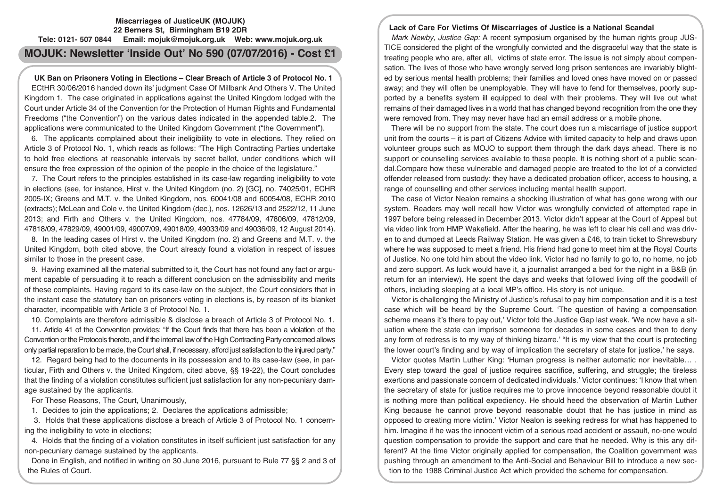# **Miscarriages of JusticeUK (MOJUK) 22 Berners St, Birmingham B19 2DR Tele: 0121- 507 0844 Email: mojuk@mojuk.org.uk Web: www.mojuk.org.uk**

# **MOJUK: Newsletter 'Inside Out' No 590 (07/07/2016) - Cost £1**

# **UK Ban on Prisoners Voting in Elections – Clear Breach of Article 3 of Protocol No. 1**

ECtHR 30/06/2016 handed down its' judgment Case Of Millbank And Others V. The United Kingdom 1. The case originated in applications against the United Kingdom lodged with the Court under Article 34 of the Convention for the Protection of Human Rights and Fundamental Freedoms ("the Convention") on the various dates indicated in the appended table.2. The applications were communicated to the United Kingdom Government ("the Government").

6. The applicants complained about their ineligibility to vote in elections. They relied on Article 3 of Protocol No. 1, which reads as follows: "The High Contracting Parties undertake to hold free elections at reasonable intervals by secret ballot, under conditions which will ensure the free expression of the opinion of the people in the choice of the legislature."

7. The Court refers to the principles established in its case-law regarding ineligibility to vote in elections (see, for instance, Hirst v. the United Kingdom (no. 2) [GC], no. 74025/01, ECHR 2005-IX; Greens and M.T. v. the United Kingdom, nos. 60041/08 and 60054/08, ECHR 2010 (extracts); McLean and Cole v. the United Kingdom (dec.), nos. 12626/13 and 2522/12, 11 June 2013; and Firth and Others v. the United Kingdom, nos. 47784/09, 47806/09, 47812/09, 47818/09, 47829/09, 49001/09, 49007/09, 49018/09, 49033/09 and 49036/09, 12 August 2014).

8. In the leading cases of Hirst v. the United Kingdom (no. 2) and Greens and M.T. v. the United Kingdom, both cited above, the Court already found a violation in respect of issues similar to those in the present case.

9. Having examined all the material submitted to it, the Court has not found any fact or argument capable of persuading it to reach a different conclusion on the admissibility and merits of these complaints. Having regard to its case-law on the subject, the Court considers that in the instant case the statutory ban on prisoners voting in elections is, by reason of its blanket character, incompatible with Article 3 of Protocol No. 1.

10. Complaints are therefore admissible & disclose a breach of Article 3 of Protocol No. 1.

11. Article 41 of the Convention provides: "If the Court finds that there has been a violation of the Convention or the Protocols thereto, and if the internal law of the High Contracting Party concerned allows only partial reparation to be made, the Court shall, if necessary, afford just satisfaction to the injured party."

12. Regard being had to the documents in its possession and to its case-law (see, in particular, Firth and Others v. the United Kingdom, cited above, §§ 19-22), the Court concludes that the finding of a violation constitutes sufficient just satisfaction for any non-pecuniary damage sustained by the applicants.

For These Reasons, The Court, Unanimously,

1. Decides to join the applications; 2. Declares the applications admissible;

3. Holds that these applications disclose a breach of Article 3 of Protocol No. 1 concerning the ineligibility to vote in elections;

4. Holds that the finding of a violation constitutes in itself sufficient just satisfaction for any non-pecuniary damage sustained by the applicants.

Done in English, and notified in writing on 30 June 2016, pursuant to Rule 77 §§ 2 and 3 of the Rules of Court.

# **Lack of Care For Victims Of Miscarriages of Justice is a National Scandal**

*Mark Newby, Justice Gap:* A recent symposium organised by the human rights group JUS-TICE considered the plight of the wrongfully convicted and the disgraceful way that the state is treating people who are, after all, victims of state error. The issue is not simply about compensation. The lives of those who have wrongly served long prison sentences are invariably blighted by serious mental health problems; their families and loved ones have moved on or passed away; and they will often be unemployable. They will have to fend for themselves, poorly supported by a benefits system ill equipped to deal with their problems. They will live out what remains of their damaged lives in a world that has changed beyond recognition from the one they were removed from. They may never have had an email address or a mobile phone.

There will be no support from the state. The court does run a miscarriage of justice support unit from the courts – it is part of Citizens Advice with limited capacity to help and draws upon volunteer groups such as MOJO to support them through the dark days ahead. There is no support or counselling services available to these people. It is nothing short of a public scandal.Compare how these vulnerable and damaged people are treated to the lot of a convicted offender released from custody: they have a dedicated probation officer, access to housing, a range of counselling and other services including mental health support.

The case of Victor Nealon remains a shocking illustration of what has gone wrong with our system. Readers may well recall how Victor was wrongfully convicted of attempted rape in 1997 before being released in December 2013. Victor didn't appear at the Court of Appeal but via video link from HMP Wakefield. After the hearing, he was left to clear his cell and was driven to and dumped at Leeds Railway Station. He was given a £46, to train ticket to Shrewsbury where he was supposed to meet a friend. His friend had gone to meet him at the Royal Courts of Justice. No one told him about the video link. Victor had no family to go to, no home, no job and zero support. As luck would have it, a journalist arranged a bed for the night in a B&B (in return for an interview). He spent the days and weeks that followed living off the goodwill of others, including sleeping at a local MP's office. His story is not unique.

Victor is challenging the Ministry of Justice's refusal to pay him compensation and it is a test case which will be heard by the Supreme Court. 'The question of having a compensation scheme means it's there to pay out,' Victor told the Justice Gap last week. 'We now have a situation where the state can imprison someone for decades in some cases and then to deny any form of redress is to my way of thinking bizarre.' "It is my view that the court is protecting the lower court's finding and by way of implication the secretary of state for justice,' he says.

Victor quotes Martin Luther King: 'Human progress is neither automatic nor inevitable… . Every step toward the goal of justice requires sacrifice, suffering, and struggle; the tireless exertions and passionate concern of dedicated individuals.' Victor continues: 'I know that when the secretary of state for justice requires me to prove innocence beyond reasonable doubt it is nothing more than political expediency. He should heed the observation of Martin Luther King because he cannot prove beyond reasonable doubt that he has justice in mind as opposed to creating more victim.' Victor Nealon is seeking redress for what has happened to him. Imagine if he was the innocent victim of a serious road accident or assault, no-one would question compensation to provide the support and care that he needed. Why is this any different? At the time Victor originally applied for compensation, the Coalition government was pushing through an amendment to the Anti-Social and Behaviour Bill to introduce a new section to the 1988 Criminal Justice Act which provided the scheme for compensation.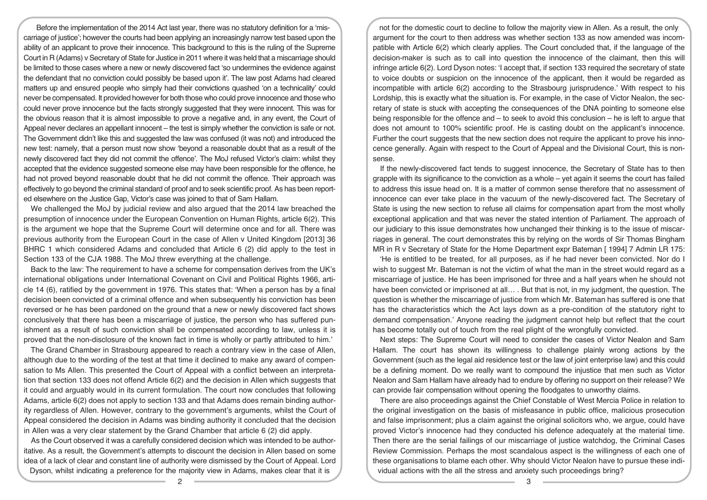Before the implementation of the 2014 Act last year, there was no statutory definition for a 'miscarriage of justice'; however the courts had been applying an increasingly narrow test based upon the ability of an applicant to prove their innocence. This background to this is the ruling of the Supreme Court in R (Adams) v Secretary of State for Justice in 2011 where it was held that a miscarriage should be limited to those cases where a new or newly discovered fact 'so undermines the evidence against the defendant that no conviction could possibly be based upon it'. The law post Adams had cleared matters up and ensured people who simply had their convictions quashed 'on a technicality' could never be compensated. It provided however for both those who could prove innocence and those who could never prove innocence but the facts strongly suggested that they were innocent. This was for the obvious reason that it is almost impossible to prove a negative and, in any event, the Court of Appeal never declares an appellant innocent – the test is simply whether the conviction is safe or not. The Government didn't like this and suggested the law was confused (it was not) and introduced the new test: namely, that a person must now show 'beyond a reasonable doubt that as a result of the newly discovered fact they did not commit the offence'. The MoJ refused Victor's claim: whilst they accepted that the evidence suggested someone else may have been responsible for the offence, he had not proved beyond reasonable doubt that he did not commit the offence. Their approach was effectively to go beyond the criminal standard of proof and to seek scientific proof. As has been reported elsewhere on the Justice Gap, Victor's case was joined to that of Sam Hallam.

We challenged the MoJ by judicial review and also argued that the 2014 law breached the presumption of innocence under the European Convention on Human Rights, article 6(2). This is the argument we hope that the Supreme Court will determine once and for all. There was previous authority from the European Court in the case of Allen v United Kingdom [2013] 36 BHRC 1 which considered Adams and concluded that Article 6 (2) did apply to the test in Section 133 of the CJA 1988. The MoJ threw everything at the challenge.

Back to the law: The requirement to have a scheme for compensation derives from the UK's international obligations under International Covenant on Civil and Political Rights 1966, article 14 (6), ratified by the government in 1976. This states that: 'When a person has by a final decision been convicted of a criminal offence and when subsequently his conviction has been reversed or he has been pardoned on the ground that a new or newly discovered fact shows conclusively that there has been a miscarriage of justice, the person who has suffered punishment as a result of such conviction shall be compensated according to law, unless it is proved that the non-disclosure of the known fact in time is wholly or partly attributed to him.'

The Grand Chamber in Strasbourg appeared to reach a contrary view in the case of Allen, although due to the wording of the test at that time it declined to make any award of compensation to Ms Allen. This presented the Court of Appeal with a conflict between an interpretation that section 133 does not offend Article 6(2) and the decision in Allen which suggests that it could and arguably would in its current formulation. The court now concludes that following Adams, article 6(2) does not apply to section 133 and that Adams does remain binding authority regardless of Allen. However, contrary to the government's arguments, whilst the Court of Appeal considered the decision in Adams was binding authority it concluded that the decision in Allen was a very clear statement by the Grand Chamber that article 6 (2) did apply.

As the Court observed it was a carefully considered decision which was intended to be authoritative. As a result, the Government's attempts to discount the decision in Allen based on some idea of a lack of clear and constant line of authority were dismissed by the Court of Appeal. Lord Dyson, whilst indicating a preference for the majority view in Adams, makes clear that it is

not for the domestic court to decline to follow the majority view in Allen. As a result, the only argument for the court to then address was whether section 133 as now amended was incompatible with Article 6(2) which clearly applies. The Court concluded that, if the language of the decision-maker is such as to call into question the innocence of the claimant, then this will infringe article 6(2). Lord Dyson notes: 'I accept that, if section 133 required the secretary of state to voice doubts or suspicion on the innocence of the applicant, then it would be regarded as incompatible with article 6(2) according to the Strasbourg jurisprudence.' With respect to his Lordship, this is exactly what the situation is. For example, in the case of Victor Nealon, the secretary of state is stuck with accepting the consequences of the DNA pointing to someone else being responsible for the offence and – to seek to avoid this conclusion – he is left to argue that does not amount to 100% scientific proof. He is casting doubt on the applicant's innocence. Further the court suggests that the new section does not require the applicant to prove his innocence generally. Again with respect to the Court of Appeal and the Divisional Court, this is nonsense.

If the newly-discovered fact tends to suggest innocence, the Secretary of State has to then grapple with its significance to the conviction as a whole – yet again it seems the court has failed to address this issue head on. It is a matter of common sense therefore that no assessment of innocence can ever take place in the vacuum of the newly-discovered fact. The Secretary of State is using the new section to refuse all claims for compensation apart from the most wholly exceptional application and that was never the stated intention of Parliament. The approach of our judiciary to this issue demonstrates how unchanged their thinking is to the issue of miscarriages in general. The court demonstrates this by relying on the words of Sir Thomas Bingham MR in R v Secretary of State for the Home Department expr Bateman [ 1994] 7 Admin LR 175:

'He is entitled to be treated, for all purposes, as if he had never been convicted. Nor do I wish to suggest Mr. Bateman is not the victim of what the man in the street would regard as a miscarriage of justice. He has been imprisoned for three and a half years when he should not have been convicted or imprisoned at all... . But that is not, in my judgment, the question. The question is whether the miscarriage of justice from which Mr. Bateman has suffered is one that has the characteristics which the Act lays down as a pre-condition of the statutory right to demand compensation.' Anyone reading the judgment cannot help but reflect that the court has become totally out of touch from the real plight of the wrongfully convicted.

Next steps: The Supreme Court will need to consider the cases of Victor Nealon and Sam Hallam. The court has shown its willingness to challenge plainly wrong actions by the Government (such as the legal aid residence test or the law of joint enterprise law) and this could be a defining moment. Do we really want to compound the injustice that men such as Victor Nealon and Sam Hallam have already had to endure by offering no support on their release? We can provide fair compensation without opening the floodgates to unworthy claims.

There are also proceedings against the Chief Constable of West Mercia Police in relation to the original investigation on the basis of misfeasance in public office, malicious prosecution and false imprisonment; plus a claim against the original solicitors who, we argue, could have proved Victor's innocence had they conducted his defence adequately at the material time. Then there are the serial failings of our miscarriage of justice watchdog, the Criminal Cases Review Commission. Perhaps the most scandalous aspect is the willingness of each one of these organisations to blame each other. Why should Victor Nealon have to pursue these individual actions with the all the stress and anxiety such proceedings bring?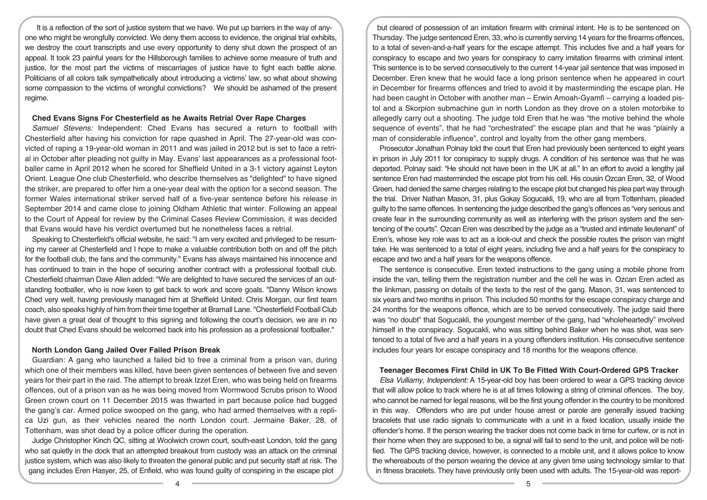It is a reflection of the sort of justice system that we have. We put up barriers in the way of anyone who might be wrongfully convicted. We deny them access to evidence, the original trial exhibits, we destroy the court transcripts and use every opportunity to deny shut down the prospect of an appeal. It took 23 painful years for the Hillsborough families to achieve some measure of truth and justice, for the most part the victims of miscarriages of justice have to fight each battle alone. Politicians of all colors talk sympathetically about introducing a victims' law, so what about showing some compassion to the victims of wrongful convictions? We should be ashamed of the present regime.

#### **Ched Evans Signs For Chesterfield as he Awaits Retrial Over Rape Charges**

*Samuel Stevens:* Independent: Ched Evans has secured a return to football with Chesterfield after having his conviction for rape quashed in April. The 27-year-old was convicted of raping a 19-year-old woman in 2011 and was jailed in 2012 but is set to face a retrial in October after pleading not guilty in May. Evans' last appearances as a professional footballer came in April 2012 when he scored for Sheffield United in a 3-1 victory against Leyton Orient. League One club Chesterfield, who describe themselves as "delighted" to have signed the striker, are prepared to offer him a one-year deal with the option for a second season. The former Wales international striker served half of a five-year sentence before his release in September 2014 and came close to joining Oldham Athletic that winter. Following an appeal to the Court of Appeal for review by the Criminal Cases Review Commission, it was decided that Evans would have his verdict overturned but he nonetheless faces a retrial.

Speaking to Chesterfield's official website, he said: "I am very excited and privileged to be resuming my career at Chesterfield and I hope to make a valuable contribution both on and off the pitch for the football club, the fans and the community." Evans has always maintained his innocence and has continued to train in the hope of securing another contract with a professional football club. Chesterfield chairman Dave Allen added: "We are delighted to have secured the services of an outstanding footballer, who is now keen to get back to work and score goals. "Danny Wilson knows Ched very well, having previously managed him at Sheffield United. Chris Morgan, our first team coach, also speaks highly of him from their time together at Bramall Lane. "Chesterfield Football Club have given a great deal of thought to this signing and following the court's decision, we are in no doubt that Ched Evans should be welcomed back into his profession as a professional footballer."

#### **North London Gang Jailed Over Failed Prison Break**

Guardian: A gang who launched a failed bid to free a criminal from a prison van, during which one of their members was killed, have been given sentences of between five and seven years for their part in the raid. The attempt to break Izzet Eren, who was being held on firearms offences, out of a prison van as he was being moved from Wormwood Scrubs prison to Wood Green crown court on 11 December 2015 was thwarted in part because police had bugged the gang's car. Armed police swooped on the gang, who had armed themselves with a replica Uzi gun, as their vehicles neared the north London court. Jermaine Baker, 28, of Tottenham, was shot dead by a police officer during the operation.

Judge Christopher Kinch QC, sitting at Woolwich crown court, south-east London, told the gang who sat quietly in the dock that an attempted breakout from custody was an attack on the criminal justice system, which was also likely to threaten the general public and put security staff at risk. The gang includes Eren Hasyer, 25, of Enfield, who was found guilty of conspiring in the escape plot

but cleared of possession of an imitation firearm with criminal intent. He is to be sentenced on Thursday. The judge sentenced Eren, 33, who is currently serving 14 years for the firearms offences, to a total of seven-and-a-half years for the escape attempt. This includes five and a half years for conspiracy to escape and two years for conspiracy to carry imitation firearms with criminal intent. This sentence is to be served consecutively to the current 14-year jail sentence that was imposed in December. Eren knew that he would face a long prison sentence when he appeared in court in December for firearms offences and tried to avoid it by masterminding the escape plan. He had been caught in October with another man – Erwin Amoah-Gyamfi – carrying a loaded pistol and a Skorpion submachine gun in north London as they drove on a stolen motorbike to allegedly carry out a shooting. The judge told Eren that he was "the motive behind the whole sequence of events", that he had "orchestrated" the escape plan and that he was "plainly a man of considerable influence", control and loyalty from the other gang members.

Prosecutor Jonathan Polnay told the court that Eren had previously been sentenced to eight years in prison in July 2011 for conspiracy to supply drugs. A condition of his sentence was that he was deported. Polnay said: "He should not have been in the UK at all." In an effort to avoid a lengthy jail sentence Eren had masterminded the escape plot from his cell. His cousin Ozcan Eren, 32, of Wood Green, had denied the same charges relating to the escape plot but changed his plea part way through the trial. Driver Nathan Mason, 31, plus Gokay Sogucakli, 19, who are all from Tottenham, pleaded guilty to the same offences. In sentencing the judge described the gang's offences as "very serious and create fear in the surrounding community as well as interfering with the prison system and the sentencing of the courts". Ozcan Eren was described by the judge as a "trusted and intimate lieutenant" of Eren's, whose key role was to act as a look-out and check the possible routes the prison van might take. He was sentenced to a total of eight years, including five and a half years for the conspiracy to escape and two and a half years for the weapons offence.

The sentence is consecutive. Eren texted instructions to the gang using a mobile phone from inside the van, telling them the registration number and the cell he was in. Ozcan Eren acted as the linkman, passing on details of the texts to the rest of the gang. Mason, 31, was sentenced to six years and two months in prison. This included 50 months for the escape conspiracy charge and 24 months for the weapons offence, which are to be served consecutively. The judge said there was "no doubt" that Sogucakli, the youngest member of the gang, had "wholeheartedly" involved himself in the conspiracy. Sogucakli, who was sitting behind Baker when he was shot, was sentenced to a total of five and a half years in a young offenders institution. His consecutive sentence includes four years for escape conspiracy and 18 months for the weapons offence.

#### **Teenager Becomes First Child in UK To Be Fitted With Court-Ordered GPS Tracker**

*Elsa Vulliamy, Independent:* A 15-year-old boy has been ordered to wear a GPS tracking device that will allow police to track where he is at all times following a string of criminal offences. The boy, who cannot be named for legal reasons, will be the first young offender in the country to be monitored in this way. Offenders who are put under house arrest or parole are generally issued tracking bracelets that use radio signals to communicate with a unit in a fixed location, usually inside the offender's home. If the person wearing the tracker does not come back in time for curfew, or is not in their home when they are supposed to be, a signal will fail to send to the unit, and police will be notified. The GPS tracking device, however, is connected to a mobile unit, and it allows police to know the whereabouts of the person wearing the device at any given time using technology similar to that in fitness bracelets. They have previously only been used with adults. The 15-year-old was report-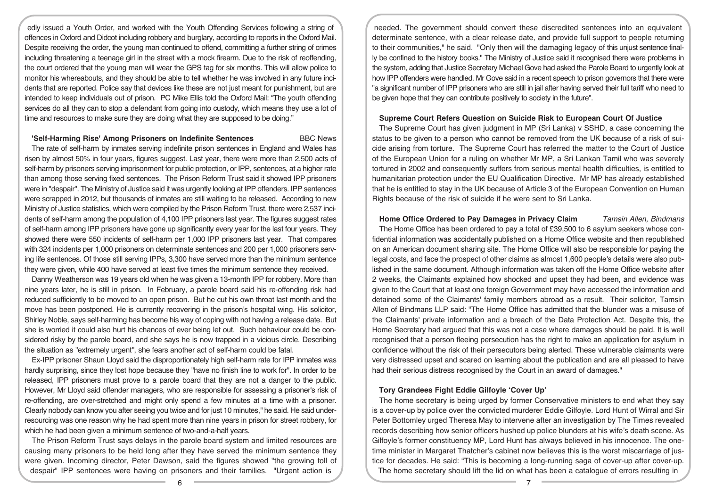edly issued a Youth Order, and worked with the Youth Offending Services following a string of offences in Oxford and Didcot including robbery and burglary, according to reports in the Oxford Mail. Despite receiving the order, the young man continued to offend, committing a further string of crimes including threatening a teenage girl in the street with a mock firearm. Due to the risk of reoffending, the court ordered that the young man will wear the GPS tag for six months. This will allow police to monitor his whereabouts, and they should be able to tell whether he was involved in any future incidents that are reported. Police say that devices like these are not just meant for punishment, but are intended to keep individuals out of prison. PC Mike Ellis told the Oxford Mail: "The youth offending services do all they can to stop a defendant from going into custody, which means they use a lot of time and resources to make sure they are doing what they are supposed to be doing."

#### **'Self-Harming Rise' Among Prisoners on Indefinite Sentences** BBC News

The rate of self-harm by inmates serving indefinite prison sentences in England and Wales has risen by almost 50% in four years, figures suggest. Last year, there were more than 2,500 acts of self-harm by prisoners serving imprisonment for public protection, or IPP, sentences, at a higher rate than among those serving fixed sentences. The Prison Reform Trust said it showed IPP prisoners were in "despair". The Ministry of Justice said it was urgently looking at IPP offenders. IPP sentences were scrapped in 2012, but thousands of inmates are still waiting to be released. According to new Ministry of Justice statistics, which were compiled by the Prison Reform Trust, there were 2,537 incidents of self-harm among the population of 4,100 IPP prisoners last year. The figures suggest rates of self-harm among IPP prisoners have gone up significantly every year for the last four years. They showed there were 550 incidents of self-harm per 1,000 IPP prisoners last year. That compares with 324 incidents per 1,000 prisoners on determinate sentences and 200 per 1,000 prisoners serving life sentences. Of those still serving IPPs, 3,300 have served more than the minimum sentence they were given, while 400 have served at least five times the minimum sentence they received.

Danny Weatherson was 19 years old when he was given a 13-month IPP for robbery. More than nine years later, he is still in prison. In February, a parole board said his re-offending risk had reduced sufficiently to be moved to an open prison. But he cut his own throat last month and the move has been postponed. He is currently recovering in the prison's hospital wing. His solicitor, Shirley Noble, says self-harming has become his way of coping with not having a release date. But she is worried it could also hurt his chances of ever being let out. Such behaviour could be considered risky by the parole board, and she says he is now trapped in a vicious circle. Describing the situation as ''extremely urgent'', she fears another act of self-harm could be fatal.

Ex-IPP prisoner Shaun Lloyd said the disproportionately high self-harm rate for IPP inmates was hardly surprising, since they lost hope because they "have no finish line to work for". In order to be released, IPP prisoners must prove to a parole board that they are not a danger to the public. However, Mr Lloyd said offender managers, who are responsible for assessing a prisoner's risk of re-offending, are over-stretched and might only spend a few minutes at a time with a prisoner. Clearly nobody can know you after seeing you twice and for just 10 minutes,'' he said. He said underresourcing was one reason why he had spent more than nine years in prison for street robbery, for which he had been given a minimum sentence of two-and-a-half years.

The Prison Reform Trust says delays in the parole board system and limited resources are causing many prisoners to be held long after they have served the minimum sentence they were given. Incoming director, Peter Dawson, said the figures showed "the growing toll of despair" IPP sentences were having on prisoners and their families. "Urgent action is

needed. The government should convert these discredited sentences into an equivalent determinate sentence, with a clear release date, and provide full support to people returning to their communities," he said. "Only then will the damaging legacy of this unjust sentence finally be confined to the history books." The Ministry of Justice said it recognised there were problems in the system, adding that Justice Secretary Michael Gove had asked the Parole Board to urgently look at how IPP offenders were handled. Mr Gove said in a recent speech to prison governors that there were "a significant number of IPP prisoners who are still in jail after having served their full tariff who need to be given hope that they can contribute positively to society in the future".

#### **Supreme Court Refers Question on Suicide Risk to European Court Of Justice**

The Supreme Court has given judgment in MP (Sri Lanka) v SSHD, a case concerning the status to be given to a person who cannot be removed from the UK because of a risk of suicide arising from torture. The Supreme Court has referred the matter to the Court of Justice of the European Union for a ruling on whether Mr MP, a Sri Lankan Tamil who was severely tortured in 2002 and consequently suffers from serious mental health difficulties, is entitled to humanitarian protection under the EU Qualification Directive. Mr MP has already established that he is entitled to stay in the UK because of Article 3 of the European Convention on Human Rights because of the risk of suicide if he were sent to Sri Lanka.

#### **Home Office Ordered to Pay Damages in Privacy Claim** *Tamsin Allen, Bindmans*

The Home Office has been ordered to pay a total of £39,500 to 6 asylum seekers whose confidential information was accidentally published on a Home Office website and then republished on an American document sharing site. The Home Office will also be responsible for paying the legal costs, and face the prospect of other claims as almost 1,600 people's details were also published in the same document. Although information was taken off the Home Office website after 2 weeks, the Claimants explained how shocked and upset they had been, and evidence was given to the Court that at least one foreign Government may have accessed the information and detained some of the Claimants' family members abroad as a result. Their solicitor, Tamsin Allen of Bindmans LLP said: "The Home Office has admitted that the blunder was a misuse of the Claimants' private information and a breach of the Data Protection Act. Despite this, the Home Secretary had argued that this was not a case where damages should be paid. It is well recognised that a person fleeing persecution has the right to make an application for asylum in confidence without the risk of their persecutors being alerted. These vulnerable claimants were very distressed upset and scared on learning about the publication and are all pleased to have had their serious distress recognised by the Court in an award of damages."

# **Tory Grandees Fight Eddie Gilfoyle 'Cover Up'**

The home secretary is being urged by former Conservative ministers to end what they say is a cover-up by police over the convicted murderer Eddie Gilfoyle. Lord Hunt of Wirral and Sir Peter Bottomley urged Theresa May to intervene after an investigation by The Times revealed records describing how senior officers hushed up police blunders at his wife's death scene. As Gilfoyle's former constituency MP, Lord Hunt has always believed in his innocence. The onetime minister in Margaret Thatcher's cabinet now believes this is the worst miscarriage of justice for decades. He said: "This is becoming a long-running saga of cover-up after cover-up. The home secretary should lift the lid on what has been a catalogue of errors resulting in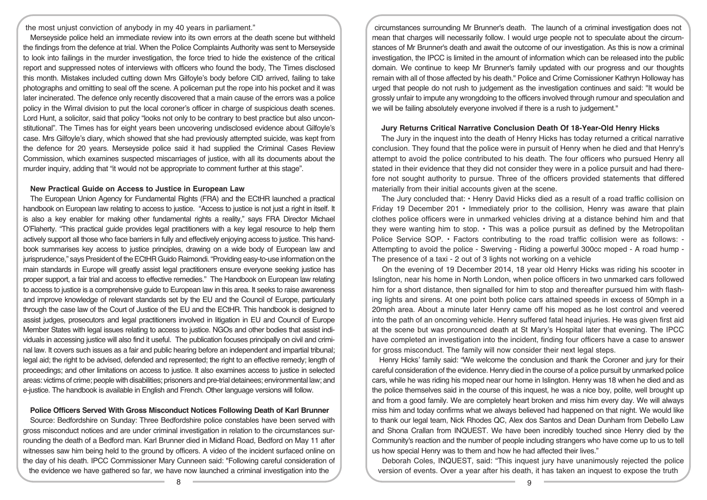the most unjust conviction of anybody in my 40 years in parliament."

Merseyside police held an immediate review into its own errors at the death scene but withheld the findings from the defence at trial. When the Police Complaints Authority was sent to Merseyside to look into failings in the murder investigation, the force tried to hide the existence of the critical report and suppressed notes of interviews with officers who found the body, The Times disclosed this month. Mistakes included cutting down Mrs Gilfoyle's body before CID arrived, failing to take photographs and omitting to seal off the scene. A policeman put the rope into his pocket and it was later incinerated. The defence only recently discovered that a main cause of the errors was a police policy in the Wirral division to put the local coroner's officer in charge of suspicious death scenes. Lord Hunt, a solicitor, said that policy "looks not only to be contrary to best practice but also unconstitutional". The Times has for eight years been uncovering undisclosed evidence about Gilfoyle's case. Mrs Gilfoyle's diary, which showed that she had previously attempted suicide, was kept from the defence for 20 years. Merseyside police said it had supplied the Criminal Cases Review Commission, which examines suspected miscarriages of justice, with all its documents about the murder inquiry, adding that "it would not be appropriate to comment further at this stage".

#### **New Practical Guide on Access to Justice in European Law**

The European Union Agency for Fundamental Rights (FRA) and the ECtHR launched a practical handbook on European law relating to access to justice. "Access to justice is not just a right in itself. It is also a key enabler for making other fundamental rights a reality," says FRA Director Michael O'Flaherty. "This practical guide provides legal practitioners with a key legal resource to help them actively support all those who face barriers in fully and effectively enjoying access to justice. This handbook summarises key access to justice principles, drawing on a wide body of European law and jurisprudence," says President of the ECtHR Guido Raimondi. "Providing easy-to-use information on the main standards in Europe will greatly assist legal practitioners ensure everyone seeking justice has proper support, a fair trial and access to effective remedies." The Handbook on European law relating to access to justice is a comprehensive guide to European law in this area. It seeks to raise awareness and improve knowledge of relevant standards set by the EU and the Council of Europe, particularly through the case law of the Court of Justice of the EU and the ECtHR. This handbook is designed to assist judges, prosecutors and legal practitioners involved in litigation in EU and Council of Europe Member States with legal issues relating to access to justice. NGOs and other bodies that assist individuals in accessing justice will also find it useful. The publication focuses principally on civil and criminal law. It covers such issues as a fair and public hearing before an independent and impartial tribunal; legal aid; the right to be advised, defended and represented; the right to an effective remedy; length of proceedings; and other limitations on access to justice. It also examines access to justice in selected areas: victims of crime; people with disabilities; prisoners and pre-trial detainees; environmental law; and e-justice. The handbook is available in English and French. Other language versions will follow.

# **Police Officers Served With Gross Misconduct Notices Following Death of Karl Brunner**

Source: Bedfordshire on Sunday: Three Bedfordshire police constables have been served with gross misconduct notices and are under criminal investigation in relation to the circumstances surrounding the death of a Bedford man. Karl Brunner died in Midland Road, Bedford on May 11 after witnesses saw him being held to the ground by officers. A video of the incident surfaced online on the day of his death. IPCC Commissioner Mary Cunneen said: "Following careful consideration of the evidence we have gathered so far, we have now launched a criminal investigation into the

circumstances surrounding Mr Brunner's death. The launch of a criminal investigation does not mean that charges will necessarily follow. I would urge people not to speculate about the circumstances of Mr Brunner's death and await the outcome of our investigation. As this is now a criminal investigation, the IPCC is limited in the amount of information which can be released into the public domain. We continue to keep Mr Brunner's family updated with our progress and our thoughts remain with all of those affected by his death." Police and Crime Comissioner Kathryn Holloway has urged that people do not rush to judgement as the investigation continues and said: "It would be grossly unfair to impute any wrongdoing to the officers involved through rumour and speculation and we will be failing absolutely everyone involved if there is a rush to judgement."

# **Jury Returns Critical Narrative Conclusion Death Of 18-Year-Old Henry Hicks**

The Jury in the inquest into the death of Henry Hicks has today returned a critical narrative conclusion. They found that the police were in pursuit of Henry when he died and that Henry's attempt to avoid the police contributed to his death. The four officers who pursued Henry all stated in their evidence that they did not consider they were in a police pursuit and had therefore not sought authority to pursue. Three of the officers provided statements that differed materially from their initial accounts given at the scene.

The Jury concluded that: • Henry David Hicks died as a result of a road traffic collision on Friday 19 December 201  $\cdot$  Immediately prior to the collision, Henry was aware that plain clothes police officers were in unmarked vehicles driving at a distance behind him and that they were wanting him to stop. • This was a police pursuit as defined by the Metropolitan Police Service SOP. • Factors contributing to the road traffic collision were as follows: -Attempting to avoid the police - Swerving - Riding a powerful 300cc moped - A road hump - The presence of a taxi - 2 out of 3 lights not working on a vehicle

On the evening of 19 December 2014, 18 year old Henry Hicks was riding his scooter in Islington, near his home in North London, when police officers in two unmarked cars followed him for a short distance, then signalled for him to stop and thereafter pursued him with flashing lights and sirens. At one point both police cars attained speeds in excess of 50mph in a 20mph area. About a minute later Henry came off his moped as he lost control and veered into the path of an oncoming vehicle. Henry suffered fatal head injuries. He was given first aid at the scene but was pronounced death at St Mary's Hospital later that evening. The IPCC have completed an investigation into the incident, finding four officers have a case to answer for gross misconduct. The family will now consider their next legal steps.

Henry Hicks' family said: "We welcome the conclusion and thank the Coroner and jury for their careful consideration of the evidence. Henry died in the course of a police pursuit by unmarked police cars, while he was riding his moped near our home in Islington. Henry was 18 when he died and as the police themselves said in the course of this inquest, he was a nice boy, polite, well brought up and from a good family. We are completely heart broken and miss him every day. We will always miss him and today confirms what we always believed had happened on that night. We would like to thank our legal team, Nick Rhodes QC, Alex dos Santos and Dean Dunham from Debello Law and Shona Crallan from INQUEST. We have been incredibly touched since Henry died by the Community's reaction and the number of people including strangers who have come up to us to tell us how special Henry was to them and how he had affected their lives."

Deborah Coles, INQUEST, said: "This inquest jury have unanimously rejected the police version of events. Over a year after his death, it has taken an inquest to expose the truth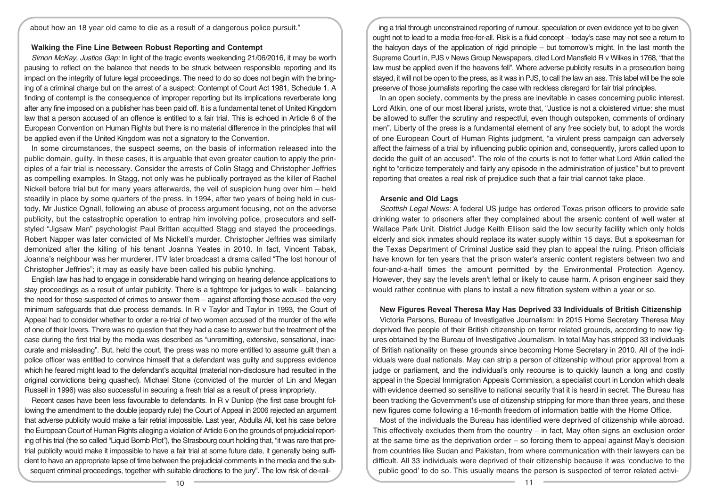about how an 18 year old came to die as a result of a dangerous police pursuit."

# **Walking the Fine Line Between Robust Reporting and Contempt**

*Simon McKay, Justice Gap:* In light of the tragic events weekending 21/06/2016, it may be worth pausing to reflect on the balance that needs to be struck between responsible reporting and its impact on the integrity of future legal proceedings. The need to do so does not begin with the bringing of a criminal charge but on the arrest of a suspect: Contempt of Court Act 1981, Schedule 1. A finding of contempt is the consequence of improper reporting but its implications reverberate long after any fine imposed on a publisher has been paid off. It is a fundamental tenet of United Kingdom law that a person accused of an offence is entitled to a fair trial. This is echoed in Article 6 of the European Convention on Human Rights but there is no material difference in the principles that will be applied even if the United Kingdom was not a signatory to the Convention.

In some circumstances, the suspect seems, on the basis of information released into the public domain, guilty. In these cases, it is arguable that even greater caution to apply the principles of a fair trial is necessary. Consider the arrests of Colin Stagg and Christopher Jeffries as compelling examples. In Stagg, not only was he publically portrayed as the killer of Rachel Nickell before trial but for many years afterwards, the veil of suspicion hung over him – held steadily in place by some quarters of the press. In 1994, after two years of being held in custody, Mr Justice Ognall, following an abuse of process argument focusing, not on the adverse publicity, but the catastrophic operation to entrap him involving police, prosecutors and selfstyled "Jigsaw Man" psychologist Paul Brittan acquitted Stagg and stayed the proceedings. Robert Napper was later convicted of Ms Nickell's murder. Christopher Jeffries was similarly demonized after the killing of his tenant Joanna Yeates in 2010. In fact, Vincent Tabak, Joanna's neighbour was her murderer. ITV later broadcast a drama called "The lost honour of Christopher Jeffries"; it may as easily have been called his public lynching.

English law has had to engage in considerable hand wringing on hearing defence applications to stay proceedings as a result of unfair publicity. There is a tightrope for judges to walk – balancing the need for those suspected of crimes to answer them – against affording those accused the very minimum safeguards that due process demands. In R v Taylor and Taylor in 1993, the Court of Appeal had to consider whether to order a re-trial of two women accused of the murder of the wife of one of their lovers. There was no question that they had a case to answer but the treatment of the case during the first trial by the media was described as "unremitting, extensive, sensational, inaccurate and misleading". But, held the court, the press was no more entitled to assume guilt than a police officer was entitled to convince himself that a defendant was guilty and suppress evidence which he feared might lead to the defendant's acquittal (material non-disclosure had resulted in the original convictions being quashed). Michael Stone (convicted of the murder of Lin and Megan Russell in 1996) was also successful in securing a fresh trial as a result of press impropriety.

Recent cases have been less favourable to defendants. In R v Dunlop (the first case brought following the amendment to the double jeopardy rule) the Court of Appeal in 2006 rejected an argument that adverse publicity would make a fair retrial impossible. Last year, Abdulla Ali, lost his case before the European Court of Human Rights alleging a violation of Article 6 on the grounds of prejudicial reporting of his trial (the so called "Liquid Bomb Plot"), the Strasbourg court holding that, "it was rare that pretrial publicity would make it impossible to have a fair trial at some future date, it generally being sufficient to have an appropriate lapse of time between the prejudicial comments in the media and the subsequent criminal proceedings, together with suitable directions to the jury". The low risk of de-rail-

ing a trial through unconstrained reporting of rumour, speculation or even evidence yet to be given ought not to lead to a media free-for-all. Risk is a fluid concept – today's case may not see a return to the halcyon days of the application of rigid principle – but tomorrow's might. In the last month the Supreme Court in, PJS v News Group Newspapers, cited Lord Mansfield R v Wilkes in 1768, "that the law must be applied even if the heavens fell". Where adverse publicity results in a prosecution being stayed, it will not be open to the press, as it was in PJS, to call the law an ass. This label will be the sole preserve of those journalists reporting the case with reckless disregard for fair trial principles.

In an open society, comments by the press are inevitable in cases concerning public interest. Lord Atkin, one of our most liberal jurists, wrote that, "Justice is not a cloistered virtue: she must be allowed to suffer the scrutiny and respectful, even though outspoken, comments of ordinary men". Liberty of the press is a fundamental element of any free society but, to adopt the words of one European Court of Human Rights judgment, "a virulent press campaign can adversely affect the fairness of a trial by influencing public opinion and, consequently, jurors called upon to decide the guilt of an accused". The role of the courts is not to fetter what Lord Atkin called the right to "criticize temperately and fairly any episode in the administration of justice" but to prevent reporting that creates a real risk of prejudice such that a fair trial cannot take place.

#### **Arsenic and Old Lags**

*Scottish Legal News:* A federal US judge has ordered Texas prison officers to provide safe drinking water to prisoners after they complained about the arsenic content of well water at Wallace Park Unit. District Judge Keith Ellison said the low security facility which only holds elderly and sick inmates should replace its water supply within 15 days. But a spokesman for the Texas Department of Criminal Justice said they plan to appeal the ruling. Prison officials have known for ten years that the prison water's arsenic content registers between two and four-and-a-half times the amount permitted by the Environmental Protection Agency. However, they say the levels aren't lethal or likely to cause harm. A prison engineer said they would rather continue with plans to install a new filtration system within a year or so.

# **New Figures Reveal Theresa May Has Deprived 33 Individuals of British Citizenship**

Victoria Parsons, Bureau of Investigative Journalism: In 2015 Home Secretary Theresa May deprived five people of their British citizenship on terror related grounds, according to new figures obtained by the Bureau of Investigative Journalism. In total May has stripped 33 individuals of British nationality on these grounds since becoming Home Secretary in 2010. All of the individuals were dual nationals. May can strip a person of citizenship without prior approval from a judge or parliament, and the individual's only recourse is to quickly launch a long and costly appeal in the Special Immigration Appeals Commission, a specialist court in London which deals with evidence deemed so sensitive to national security that it is heard in secret. The Bureau has been tracking the Government's use of citizenship stripping for more than three years, and these new figures come following a 16-month freedom of information battle with the Home Office.

Most of the individuals the Bureau has identified were deprived of citizenship while abroad. This effectively excludes them from the country  $-$  in fact. May often signs an exclusion order at the same time as the deprivation order – so forcing them to appeal against May's decision from countries like Sudan and Pakistan, from where communication with their lawyers can be difficult. All 33 individuals were deprived of their citizenship because it was 'conducive to the public good' to do so. This usually means the person is suspected of terror related activi-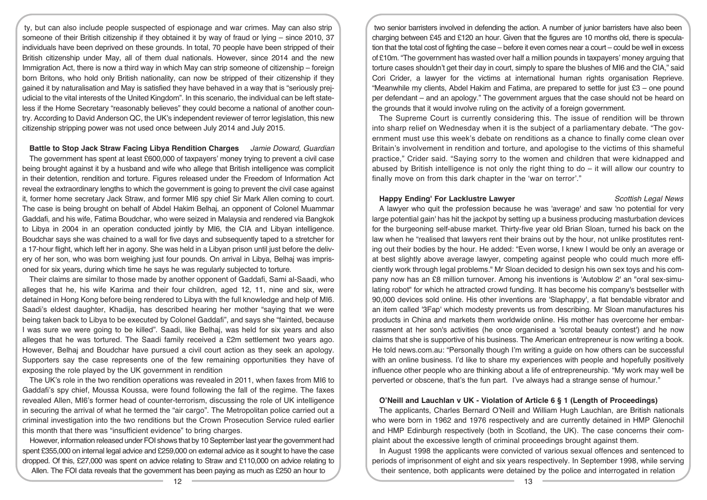ty, but can also include people suspected of espionage and war crimes. May can also strip someone of their British citizenship if they obtained it by way of fraud or lying – since 2010, 37 individuals have been deprived on these grounds. In total, 70 people have been stripped of their British citizenship under May, all of them dual nationals. However, since 2014 and the new Immigration Act, there is now a third way in which May can strip someone of citizenship – foreign born Britons, who hold only British nationality, can now be stripped of their citizenship if they gained it by naturalisation and May is satisfied they have behaved in a way that is "seriously prejudicial to the vital interests of the United Kingdom". In this scenario, the individual can be left stateless if the Home Secretary "reasonably believes" they could become a national of another country. According to David Anderson QC, the UK's independent reviewer of terror legislation, this new citizenship stripping power was not used once between July 2014 and July 2015.

**Battle to Stop Jack Straw Facing Libya Rendition Charges** *Jamie Doward, Guardian*

The government has spent at least £600,000 of taxpayers' money trying to prevent a civil case being brought against it by a husband and wife who allege that British intelligence was complicit in their detention, rendition and torture. Figures released under the Freedom of Information Act reveal the extraordinary lengths to which the government is going to prevent the civil case against it, former home secretary Jack Straw, and former MI6 spy chief Sir Mark Allen coming to court. The case is being brought on behalf of Abdel Hakim Belhaj, an opponent of Colonel Muammar Gaddafi, and his wife, Fatima Boudchar, who were seized in Malaysia and rendered via Bangkok to Libya in 2004 in an operation conducted jointly by MI6, the CIA and Libyan intelligence. Boudchar says she was chained to a wall for five days and subsequently taped to a stretcher for a 17-hour flight, which left her in agony. She was held in a Libyan prison until just before the delivery of her son, who was born weighing just four pounds. On arrival in Libya, Belhaj was imprisoned for six years, during which time he says he was regularly subjected to torture.

Their claims are similar to those made by another opponent of Gaddafi, Sami al-Saadi, who alleges that he, his wife Karima and their four children, aged 12, 11, nine and six, were detained in Hong Kong before being rendered to Libya with the full knowledge and help of MI6. Saadi's eldest daughter, Khadija, has described hearing her mother "saying that we were being taken back to Libya to be executed by Colonel Gaddafi", and says she "fainted, because I was sure we were going to be killed". Saadi, like Belhaj, was held for six years and also alleges that he was tortured. The Saadi family received a £2m settlement two years ago. However, Belhaj and Boudchar have pursued a civil court action as they seek an apology. Supporters say the case represents one of the few remaining opportunities they have of exposing the role played by the UK government in rendition

The UK's role in the two rendition operations was revealed in 2011, when faxes from MI6 to Gaddafi's spy chief, Moussa Koussa, were found following the fall of the regime. The faxes revealed Allen, MI6's former head of counter-terrorism, discussing the role of UK intelligence in securing the arrival of what he termed the "air cargo". The Metropolitan police carried out a criminal investigation into the two renditions but the Crown Prosecution Service ruled earlier this month that there was "insufficient evidence" to bring charges.

However, information released under FOI shows that by 10 September last year the government had spent £355,000 on internal legal advice and £259,000 on external advice as it sought to have the case dropped. Of this, £27,000 was spent on advice relating to Straw and £110,000 on advice relating to Allen. The FOI data reveals that the government has been paying as much as £250 an hour to

two senior barristers involved in defending the action. A number of junior barristers have also been charging between £45 and £120 an hour. Given that the figures are 10 months old, there is speculation that the total cost of fighting the case – before it even comes near a court – could be well in excess of £10m. "The government has wasted over half a million pounds in taxpayers' money arguing that torture cases shouldn't get their day in court, simply to spare the blushes of MI6 and the CIA," said Cori Crider, a lawyer for the victims at international human rights organisation Reprieve. "Meanwhile my clients, Abdel Hakim and Fatima, are prepared to settle for just £3 – one pound per defendant – and an apology." The government argues that the case should not be heard on the grounds that it would involve ruling on the activity of a foreign government.

The Supreme Court is currently considering this. The issue of rendition will be thrown into sharp relief on Wednesday when it is the subject of a parliamentary debate. "The government must use this week's debate on renditions as a chance to finally come clean over Britain's involvement in rendition and torture, and apologise to the victims of this shameful practice," Crider said. "Saying sorry to the women and children that were kidnapped and abused by British intelligence is not only the right thing to  $do - it$  will allow our country to finally move on from this dark chapter in the 'war on terror'."

## **Happy Ending' For Lacklustre Lawyer** *Scottish Legal News*

A lawyer who quit the profession because he was 'average' and saw 'no potential for very large potential gain' has hit the jackpot by setting up a business producing masturbation devices for the burgeoning self-abuse market. Thirty-five year old Brian Sloan, turned his back on the law when he "realised that lawyers rent their brains out by the hour, not unlike prostitutes renting out their bodies by the hour. He added: "Even worse, I knew I would be only an average or at best slightly above average lawyer, competing against people who could much more efficiently work through legal problems." Mr Sloan decided to design his own sex toys and his company now has an £8 million turnover. Among his inventions is 'Autoblow 2' an "oral sex-simulating robot" for which he attracted crowd funding. It has become his company's bestseller with 90,000 devices sold online. His other inventions are 'Slaphappy', a flat bendable vibrator and an item called '3Fap' which modesty prevents us from describing. Mr Sloan manufactures his products in China and markets them worldwide online. His mother has overcome her embarrassment at her son's activities (he once organised a 'scrotal beauty contest') and he now claims that she is supportive of his business. The American entrepreneur is now writing a book. He told news.com.au: "Personally though I'm writing a guide on how others can be successful with an online business. I'd like to share my experiences with people and hopefully positively influence other people who are thinking about a life of entrepreneurship. "My work may well be perverted or obscene, that's the fun part. I've always had a strange sense of humour."

# **O'Neill and Lauchlan v UK - Violation of Article 6 § 1 (Length of Proceedings)**

The applicants, Charles Bernard O'Neill and William Hugh Lauchlan, are British nationals who were born in 1962 and 1976 respectively and are currently detained in HMP Glenochil and HMP Edinburgh respectively (both in Scotland, the UK). The case concerns their complaint about the excessive length of criminal proceedings brought against them.

In August 1998 the applicants were convicted of various sexual offences and sentenced to periods of imprisonment of eight and six years respectively. In September 1998, while serving their sentence, both applicants were detained by the police and interrogated in relation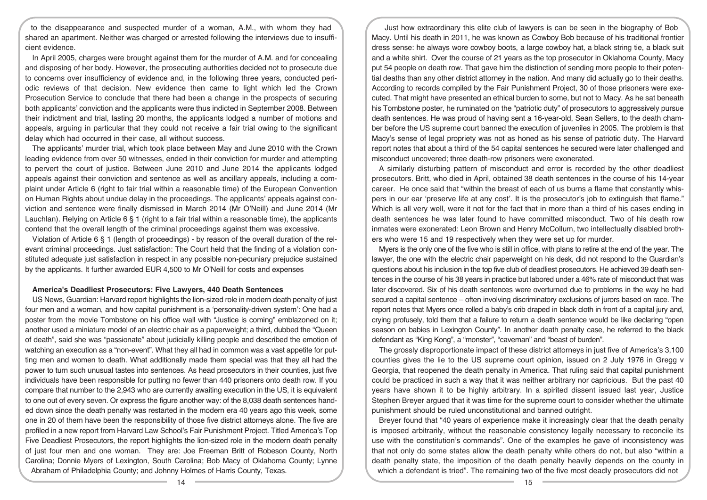to the disappearance and suspected murder of a woman, A.M., with whom they had shared an apartment. Neither was charged or arrested following the interviews due to insufficient evidence.

In April 2005, charges were brought against them for the murder of A.M. and for concealing and disposing of her body. However, the prosecuting authorities decided not to prosecute due to concerns over insufficiency of evidence and, in the following three years, conducted periodic reviews of that decision. New evidence then came to light which led the Crown Prosecution Service to conclude that there had been a change in the prospects of securing both applicants' conviction and the applicants were thus indicted in September 2008. Between their indictment and trial, lasting 20 months, the applicants lodged a number of motions and appeals, arguing in particular that they could not receive a fair trial owing to the significant delay which had occurred in their case, all without success.

The applicants' murder trial, which took place between May and June 2010 with the Crown leading evidence from over 50 witnesses, ended in their conviction for murder and attempting to pervert the court of justice. Between June 2010 and June 2014 the applicants lodged appeals against their conviction and sentence as well as ancillary appeals, including a complaint under Article 6 (right to fair trial within a reasonable time) of the European Convention on Human Rights about undue delay in the proceedings. The applicants' appeals against conviction and sentence were finally dismissed in March 2014 (Mr O'Neill) and June 2014 (Mr Lauchlan). Relying on Article 6  $\S$  1 (right to a fair trial within a reasonable time), the applicants contend that the overall length of the criminal proceedings against them was excessive.

Violation of Article 6 § 1 (length of proceedings) - by reason of the overall duration of the relevant criminal proceedings. Just satisfaction: The Court held that the finding of a violation constituted adequate just satisfaction in respect in any possible non-pecuniary prejudice sustained by the applicants. It further awarded EUR 4,500 to Mr O'Neill for costs and expenses

#### **America's Deadliest Prosecutors: Five Lawyers, 440 Death Sentences**

US News, Guardian: Harvard report highlights the lion-sized role in modern death penalty of just four men and a woman, and how capital punishment is a 'personality-driven system': One had a poster from the movie Tombstone on his office wall with "Justice is coming" emblazoned on it; another used a miniature model of an electric chair as a paperweight; a third, dubbed the "Queen of death", said she was "passionate" about judicially killing people and described the emotion of watching an execution as a "non-event". What they all had in common was a vast appetite for putting men and women to death. What additionally made them special was that they all had the power to turn such unusual tastes into sentences. As head prosecutors in their counties, just five individuals have been responsible for putting no fewer than 440 prisoners onto death row. If you compare that number to the 2,943 who are currently awaiting execution in the US, it is equivalent to one out of every seven. Or express the figure another way: of the 8,038 death sentences handed down since the death penalty was restarted in the modern era 40 years ago this week, some one in 20 of them have been the responsibility of those five district attorneys alone. The five are profiled in a new report from Harvard Law School's Fair Punishment Project. Titled America's Top Five Deadliest Prosecutors, the report highlights the lion-sized role in the modern death penalty of just four men and one woman. They are: Joe Freeman Britt of Robeson County, North Carolina; Donnie Myers of Lexington, South Carolina; Bob Macy of Oklahoma County; Lynne Abraham of Philadelphia County; and Johnny Holmes of Harris County, Texas.

Just how extraordinary this elite club of lawyers is can be seen in the biography of Bob Macy. Until his death in 2011, he was known as Cowboy Bob because of his traditional frontier dress sense: he always wore cowboy boots, a large cowboy hat, a black string tie, a black suit and a white shirt. Over the course of 21 years as the top prosecutor in Oklahoma County, Macy put 54 people on death row. That gave him the distinction of sending more people to their potential deaths than any other district attorney in the nation. And many did actually go to their deaths. According to records compiled by the Fair Punishment Project, 30 of those prisoners were executed. That might have presented an ethical burden to some, but not to Macy. As he sat beneath his Tombstone poster, he ruminated on the "patriotic duty" of prosecutors to aggressively pursue death sentences. He was proud of having sent a 16-year-old, Sean Sellers, to the death chamber before the US supreme court banned the execution of juveniles in 2005. The problem is that Macy's sense of legal propriety was not as honed as his sense of patriotic duty. The Harvard report notes that about a third of the 54 capital sentences he secured were later challenged and misconduct uncovered; three death-row prisoners were exonerated.

A similarly disturbing pattern of misconduct and error is recorded by the other deadliest prosecutors. Britt, who died in April, obtained 38 death sentences in the course of his 14-year career. He once said that "within the breast of each of us burns a flame that constantly whispers in our ear 'preserve life at any cost'. It is the prosecutor's job to extinguish that flame." Which is all very well, were it not for the fact that in more than a third of his cases ending in death sentences he was later found to have committed misconduct. Two of his death row inmates were exonerated: Leon Brown and Henry McCollum, two intellectually disabled brothers who were 15 and 19 respectively when they were set up for murder.

Myers is the only one of the five who is still in office, with plans to retire at the end of the year. The lawyer, the one with the electric chair paperweight on his desk, did not respond to the Guardian's questions about his inclusion in the top five club of deadliest prosecutors. He achieved 39 death sentences in the course of his 38 years in practice but labored under a 46% rate of misconduct that was later discovered. Six of his death sentences were overturned due to problems in the way he had secured a capital sentence – often involving discriminatory exclusions of jurors based on race. The report notes that Myers once rolled a baby's crib draped in black cloth in front of a capital jury and, crying profusely, told them that a failure to return a death sentence would be like declaring "open season on babies in Lexington County". In another death penalty case, he referred to the black defendant as "King Kong", a "monster", "caveman" and "beast of burden".

The grossly disproportionate impact of these district attorneys in just five of America's 3,100 counties gives the lie to the US supreme court opinion, issued on 2 July 1976 in Gregg v Georgia, that reopened the death penalty in America. That ruling said that capital punishment could be practiced in such a way that it was neither arbitrary nor capricious. But the past 40 years have shown it to be highly arbitrary. In a spirited dissent issued last year, Justice Stephen Breyer argued that it was time for the supreme court to consider whether the ultimate punishment should be ruled unconstitutional and banned outright.

Breyer found that "40 years of experience make it increasingly clear that the death penalty is imposed arbitrarily, without the reasonable consistency legally necessary to reconcile its use with the constitution's commands". One of the examples he gave of inconsistency was that not only do some states allow the death penalty while others do not, but also "within a death penalty state, the imposition of the death penalty heavily depends on the county in which a defendant is tried". The remaining two of the five most deadly prosecutors did not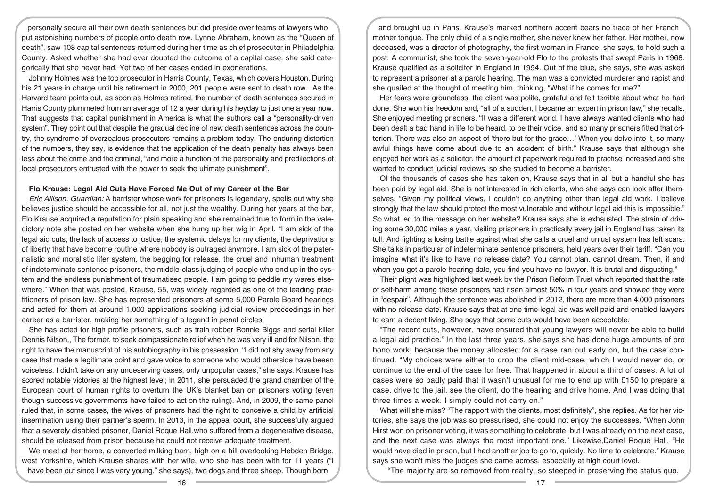personally secure all their own death sentences but did preside over teams of lawyers who put astonishing numbers of people onto death row. Lynne Abraham, known as the "Queen of death", saw 108 capital sentences returned during her time as chief prosecutor in Philadelphia County. Asked whether she had ever doubted the outcome of a capital case, she said categorically that she never had. Yet two of her cases ended in exonerations.

Johnny Holmes was the top prosecutor in Harris County, Texas, which covers Houston. During his 21 years in charge until his retirement in 2000, 201 people were sent to death row. As the Harvard team points out, as soon as Holmes retired, the number of death sentences secured in Harris County plummeted from an average of 12 a year during his heyday to just one a year now. That suggests that capital punishment in America is what the authors call a "personality-driven system". They point out that despite the gradual decline of new death sentences across the country, the syndrome of overzealous prosecutors remains a problem today. The enduring distortion of the numbers, they say, is evidence that the application of the death penalty has always been less about the crime and the criminal, "and more a function of the personality and predilections of local prosecutors entrusted with the power to seek the ultimate punishment".

#### **Flo Krause: Legal Aid Cuts Have Forced Me Out of my Career at the Bar**

*Eric Allison, Guardian:* A barrister whose work for prisoners is legendary, spells out why she believes justice should be accessible for all, not just the wealthy. During her years at the bar, Flo Krause acquired a reputation for plain speaking and she remained true to form in the valedictory note she posted on her website when she hung up her wig in April. "I am sick of the legal aid cuts, the lack of access to justice, the systemic delays for my clients, the deprivations of liberty that have become routine where nobody is outraged anymore. I am sick of the paternalistic and moralistic lifer system, the begging for release, the cruel and inhuman treatment of indeterminate sentence prisoners, the middle-class judging of people who end up in the system and the endless punishment of traumatised people. I am going to peddle my wares elsewhere." When that was posted, Krause, 55, was widely regarded as one of the leading practitioners of prison law. She has represented prisoners at some 5,000 Parole Board hearings and acted for them at around 1,000 applications seeking judicial review proceedings in her career as a barrister, making her something of a legend in penal circles.

She has acted for high profile prisoners, such as train robber Ronnie Biggs and serial killer Dennis Nilson., The former, to seek compassionate relief when he was very ill and for Nilson, the right to have the manuscript of his autobiography in his possession. "I did not shy away from any case that made a legitimate point and gave voice to someone who would otherside have beeen voiceless. I didn't take on any undeserving cases, only unpopular cases," she says. Krause has scored notable victories at the highest level; in 2011, she persuaded the grand chamber of the European court of human rights to overturn the UK's blanket ban on prisoners voting (even though successive governments have failed to act on the ruling). And, in 2009, the same panel ruled that, in some cases, the wives of prisoners had the right to conceive a child by artificial insemination using their partner's sperm. In 2013, in the appeal court, she successfully argued that a severely disabled prisoner, Daniel Roque Hall,who suffered from a degenerative disease, should be released from prison because he could not receive adequate treatment.

We meet at her home, a converted milking barn, high on a hill overlooking Hebden Bridge, west Yorkshire, which Krause shares with her wife, who she has been with for 11 years ("I have been out since I was very young," she says), two dogs and three sheep. Though born

and brought up in Paris, Krause's marked northern accent bears no trace of her French mother tongue. The only child of a single mother, she never knew her father. Her mother, now deceased, was a director of photography, the first woman in France, she says, to hold such a post. A communist, she took the seven-year-old Flo to the protests that swept Paris in 1968. Krause qualified as a solicitor in England in 1994. Out of the blue, she says, she was asked to represent a prisoner at a parole hearing. The man was a convicted murderer and rapist and she quailed at the thought of meeting him, thinking, "What if he comes for me?"

Her fears were groundless, the client was polite, grateful and felt terrible about what he had done. She won his freedom and, "all of a sudden, I became an expert in prison law," she recalls. She enjoyed meeting prisoners. "It was a different world. I have always wanted clients who had been dealt a bad hand in life to be heard, to be their voice, and so many prisoners fitted that criterion. There was also an aspect of 'there but for the grace…' When you delve into it, so many awful things have come about due to an accident of birth." Krause says that although she enjoyed her work as a solicitor, the amount of paperwork required to practise increased and she wanted to conduct judicial reviews, so she studied to become a barrister.

Of the thousands of cases she has taken on, Krause says that in all but a handful she has been paid by legal aid. She is not interested in rich clients, who she says can look after themselves. "Given my political views, I couldn't do anything other than legal aid work. I believe strongly that the law should protect the most vulnerable and without legal aid this is impossible." So what led to the message on her website? Krause says she is exhausted. The strain of driving some 30,000 miles a year, visiting prisoners in practically every jail in England has taken its toll. And fighting a losing battle against what she calls a cruel and unjust system has left scars. She talks in particular of indeterminate sentence prisoners, held years over their tariff. "Can you imagine what it's like to have no release date? You cannot plan, cannot dream. Then, if and when you get a parole hearing date, you find you have no lawyer. It is brutal and disgusting."

Their plight was highlighted last week by the Prison Reform Trust which reported that the rate of self-harm among these prisoners had risen almost 50% in four years and showed they were in "despair". Although the sentence was abolished in 2012, there are more than 4,000 prisoners with no release date. Krause says that at one time legal aid was well paid and enabled lawyers to earn a decent living. She says that some cuts would have been acceptable.

"The recent cuts, however, have ensured that young lawyers will never be able to build a legal aid practice." In the last three years, she says she has done huge amounts of pro bono work, because the money allocated for a case ran out early on, but the case continued. "My choices were either to drop the client mid-case, which I would never do, or continue to the end of the case for free. That happened in about a third of cases. A lot of cases were so badly paid that it wasn't unusual for me to end up with £150 to prepare a case, drive to the jail, see the client, do the hearing and drive home. And I was doing that three times a week. I simply could not carry on."

What will she miss? "The rapport with the clients, most definitely", she replies. As for her victories, she says the job was so pressurised, she could not enjoy the successes. "When John Hirst won on prisoner voting, it was something to celebrate, but I was already on the next case, and the next case was always the most important one." Likewise,Daniel Roque Hall. "He would have died in prison, but I had another job to go to, quickly. No time to celebrate." Krause says she won't miss the judges she came across, especially at high court level.

"The majority are so removed from reality, so steeped in preserving the status quo,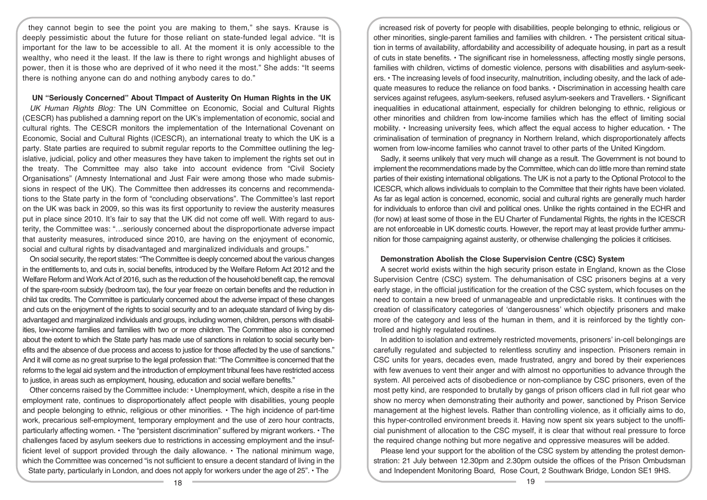they cannot begin to see the point you are making to them," she says. Krause is deeply pessimistic about the future for those reliant on state-funded legal advice. "It is important for the law to be accessible to all. At the moment it is only accessible to the wealthy, who need it the least. If the law is there to right wrongs and highlight abuses of power, then it is those who are deprived of it who need it the most." She adds: "It seems there is nothing anyone can do and nothing anybody cares to do."

#### **UN "Seriously Concerned" About TImpact of Austerity On Human Rights in the UK**

*UK Human Rights Blog:* The UN Committee on Economic, Social and Cultural Rights (CESCR) has published a damning report on the UK's implementation of economic, social and cultural rights. The CESCR monitors the implementation of the International Covenant on Economic, Social and Cultural Rights (ICESCR), an international treaty to which the UK is a party. State parties are required to submit regular reports to the Committee outlining the legislative, judicial, policy and other measures they have taken to implement the rights set out in the treaty. The Committee may also take into account evidence from "Civil Society Organisations" (Amnesty International and Just Fair were among those who made submissions in respect of the UK). The Committee then addresses its concerns and recommendations to the State party in the form of "concluding observations". The Committee's last report on the UK was back in 2009, so this was its first opportunity to review the austerity measures put in place since 2010. It's fair to say that the UK did not come off well. With regard to austerity, the Committee was: "…seriously concerned about the disproportionate adverse impact that austerity measures, introduced since 2010, are having on the enjoyment of economic, social and cultural rights by disadvantaged and marginalized individuals and groups."

On social security, the report states: "The Committee is deeply concerned about the various changes in the entitlements to, and cuts in, social benefits, introduced by the Welfare Reform Act 2012 and the Welfare Reform and Work Act of 2016, such as the reduction of the household benefit cap, the removal of the spare-room subsidy (bedroom tax), the four year freeze on certain benefits and the reduction in child tax credits. The Committee is particularly concerned about the adverse impact of these changes and cuts on the enjoyment of the rights to social security and to an adequate standard of living by disadvantaged and marginalized individuals and groups, including women, children, persons with disabilities, low-income families and families with two or more children. The Committee also is concerned about the extent to which the State party has made use of sanctions in relation to social security benefits and the absence of due process and access to justice for those affected by the use of sanctions." And it will come as no great surprise to the legal profession that: "The Committee is concerned that the reforms to the legal aid system and the introduction of employment tribunal fees have restricted access to justice, in areas such as employment, housing, education and social welfare benefits."

Other concerns raised by the Committee include: • Unemployment, which, despite a rise in the employment rate, continues to disproportionately affect people with disabilities, young people and people belonging to ethnic, religious or other minorities. • The high incidence of part-time work, precarious self-employment, temporary employment and the use of zero hour contracts, particularly affecting women. • The "persistent discrimination" suffered by migrant workers. • The challenges faced by asylum seekers due to restrictions in accessing employment and the insufficient level of support provided through the daily allowance. • The national minimum wage, which the Committee was concerned "is not sufficient to ensure a decent standard of living in the State party, particularly in London, and does not apply for workers under the age of 25". • The

increased risk of poverty for people with disabilities, people belonging to ethnic, religious or other minorities, single-parent families and families with children. • The persistent critical situation in terms of availability, affordability and accessibility of adequate housing, in part as a result of cuts in state benefits. • The significant rise in homelessness, affecting mostly single persons, families with children, victims of domestic violence, persons with disabilities and asylum-seekers. • The increasing levels of food insecurity, malnutrition, including obesity, and the lack of adequate measures to reduce the reliance on food banks. • Discrimination in accessing health care services against refugees, asylum-seekers, refused asylum-seekers and Travellers. • Significant inequalities in educational attainment, especially for children belonging to ethnic, religious or other minorities and children from low-income families which has the effect of limiting social mobility. • Increasing university fees, which affect the equal access to higher education. • The criminalisation of termination of pregnancy in Northern Ireland, which disproportionately affects women from low-income families who cannot travel to other parts of the United Kingdom.

Sadly, it seems unlikely that very much will change as a result. The Government is not bound to implement the recommendations made by the Committee, which can do little more than remind state parties of their existing international obligations. The UK is not a party to the Optional Protocol to the ICESCR, which allows individuals to complain to the Committee that their rights have been violated. As far as legal action is concerned, economic, social and cultural rights are generally much harder for individuals to enforce than civil and political ones. Unlike the rights contained in the ECHR and (for now) at least some of those in the EU Charter of Fundamental Rights, the rights in the ICESCR are not enforceable in UK domestic courts. However, the report may at least provide further ammunition for those campaigning against austerity, or otherwise challenging the policies it criticises.

### **Demonstration Abolish the Close Supervision Centre (CSC) System**

A secret world exists within the high security prison estate in England, known as the Close Supervision Centre (CSC) system. The dehumanisation of CSC prisoners begins at a very early stage, in the official justification for the creation of the CSC system, which focuses on the need to contain a new breed of unmanageable and unpredictable risks. It continues with the creation of classificatory categories of 'dangerousness' which objectify prisoners and make more of the category and less of the human in them, and it is reinforced by the tightly controlled and highly regulated routines.

In addition to isolation and extremely restricted movements, prisoners' in-cell belongings are carefully regulated and subjected to relentless scrutiny and inspection. Prisoners remain in CSC units for years, decades even, made frustrated, angry and bored by their experiences with few avenues to vent their anger and with almost no opportunities to advance through the system. All perceived acts of disobedience or non-compliance by CSC prisoners, even of the most petty kind, are responded to brutally by gangs of prison officers clad in full riot gear who show no mercy when demonstrating their authority and power, sanctioned by Prison Service management at the highest levels. Rather than controlling violence, as it officially aims to do, this hyper-controlled environment breeds it. Having now spent six years subject to the unofficial punishment of allocation to the CSC myself, it is clear that without real pressure to force the required change nothing but more negative and oppressive measures will be added.

Please lend your support for the abolition of the CSC system by attending the protest demonstration: 21 July between 12.30pm and 2.30pm outside the offices of the Prison Ombudsman and Independent Monitoring Board, Rose Court, 2 Southwark Bridge, London SE1 9HS.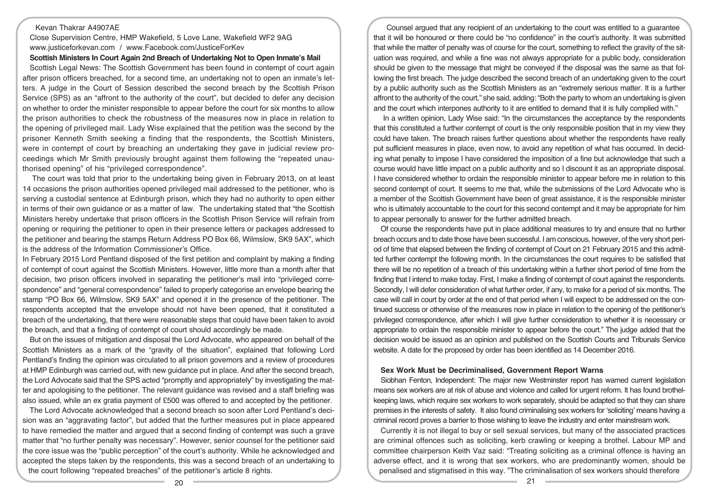### Kevan Thakrar A4907AE

Close Supervision Centre, HMP Wakefield, 5 Love Lane, Wakefield WF2 9AG www.justiceforkevan.com / www.Facebook.com/JusticeForKev

#### **Scottish Ministers In Court Again 2nd Breach of Undertaking Not to Open Inmate's Mail**

Scottish Legal News: The Scottish Government has been found in contempt of court again after prison officers breached, for a second time, an undertaking not to open an inmate's letters. A judge in the Court of Session described the second breach by the Scottish Prison Service (SPS) as an "affront to the authority of the court", but decided to defer any decision on whether to order the minister responsible to appear before the court for six months to allow the prison authorities to check the robustness of the measures now in place in relation to the opening of privileged mail. Lady Wise explained that the petition was the second by the prisoner Kenneth Smith seeking a finding that the respondents, the Scottish Ministers, were in contempt of court by breaching an undertaking they gave in judicial review proceedings which Mr Smith previously brought against them following the "repeated unauthorised opening" of his "privileged correspondence".

The court was told that prior to the undertaking being given in February 2013, on at least 14 occasions the prison authorities opened privileged mail addressed to the petitioner, who is serving a custodial sentence at Edinburgh prison, which they had no authority to open either in terms of their own guidance or as a matter of law. The undertaking stated that "the Scottish Ministers hereby undertake that prison officers in the Scottish Prison Service will refrain from opening or requiring the petitioner to open in their presence letters or packages addressed to the petitioner and bearing the stamps Return Address PO Box 66, Wilmslow, SK9 5AX", which is the address of the Information Commissioner's Office.

In February 2015 Lord Pentland disposed of the first petition and complaint by making a finding of contempt of court against the Scottish Ministers. However, little more than a month after that decision, two prison officers involved in separating the petitioner's mail into "privileged correspondence" and "general correspondence" failed to properly categorise an envelope bearing the stamp "PO Box 66, Wilmslow, SK9 5AX" and opened it in the presence of the petitioner. The respondents accepted that the envelope should not have been opened, that it constituted a breach of the undertaking, that there were reasonable steps that could have been taken to avoid the breach, and that a finding of contempt of court should accordingly be made.

But on the issues of mitigation and disposal the Lord Advocate, who appeared on behalf of the Scottish Ministers as a mark of the "gravity of the situation", explained that following Lord Pentland's finding the opinion was circulated to all prison governors and a review of procedures at HMP Edinburgh was carried out, with new guidance put in place. And after the second breach, the Lord Advocate said that the SPS acted "promptly and appropriately" by investigating the matter and apologising to the petitioner. The relevant guidance was revised and a staff briefing was also issued, while an ex gratia payment of £500 was offered to and accepted by the petitioner.

The Lord Advocate acknowledged that a second breach so soon after Lord Pentland's decision was an "aggravating factor", but added that the further measures put in place appeared to have remedied the matter and argued that a second finding of contempt was such a grave matter that "no further penalty was necessary". However, senior counsel for the petitioner said the core issue was the "public perception" of the court's authority. While he acknowledged and accepted the steps taken by the respondents, this was a second breach of an undertaking to the court following "repeated breaches" of the petitioner's article 8 rights.

Counsel argued that any recipient of an undertaking to the court was entitled to a guarantee that it will be honoured or there could be "no confidence" in the court's authority. It was submitted that while the matter of penalty was of course for the court, something to reflect the gravity of the situation was required, and while a fine was not always appropriate for a public body, consideration should be given to the message that might be conveyed if the disposal was the same as that following the first breach. The judge described the second breach of an undertaking given to the court by a public authority such as the Scottish Ministers as an "extremely serious matter. It is a further affront to the authority of the court," she said, adding: "Both the party to whom an undertaking is given and the court which interpones authority to it are entitled to demand that it is fully complied with."

In a written opinion, Lady Wise said: "In the circumstances the acceptance by the respondents that this constituted a further contempt of court is the only responsible position that in my view they could have taken. The breach raises further questions about whether the respondents have really put sufficient measures in place, even now, to avoid any repetition of what has occurred. In deciding what penalty to impose I have considered the imposition of a fine but acknowledge that such a course would have little impact on a public authority and so I discount it as an appropriate disposal. I have considered whether to ordain the responsible minister to appear before me in relation to this second contempt of court. It seems to me that, while the submissions of the Lord Advocate who is a member of the Scottish Government have been of great assistance, it is the responsible minister who is ultimately accountable to the court for this second contempt and it may be appropriate for him to appear personally to answer for the further admitted breach.

Of course the respondents have put in place additional measures to try and ensure that no further breach occurs and to date those have been successful. I am conscious, however, of the very short period of time that elapsed between the finding of contempt of Court on 21 February 2015 and this admitted further contempt the following month. In the circumstances the court requires to be satisfied that there will be no repetition of a breach of this undertaking within a further short period of time from the finding that I intend to make today. First, I make a finding of contempt of court against the respondents. Secondly, I will defer consideration of what further order, if any, to make for a period of six months. The case will call in court by order at the end of that period when I will expect to be addressed on the continued success or otherwise of the measures now in place in relation to the opening of the petitioner's privileged correspondence, after which I will give further consideration to whether it is necessary or appropriate to ordain the responsible minister to appear before the court." The judge added that the decision would be issued as an opinion and published on the Scottish Courts and Tribunals Service website. A date for the proposed by order has been identified as 14 December 2016.

#### **Sex Work Must be Decriminalised, Government Report Warns**

Siobhan Fenton, Independent: The major new Westminster report has warned current legislation means sex workers are at risk of abuse and violence and called for urgent reform. It has found brothelkeeping laws, which require sex workers to work separately, should be adapted so that they can share premises in the interests of safety. It also found criminalising sex workers for 'soliciting' means having a criminal record proves a barrier to those wishing to leave the industry and enter mainstream work.

Currently it is not illegal to buy or sell sexual services, but many of the associated practices are criminal offences such as soliciting, kerb crawling or keeping a brothel. Labour MP and committee chairperson Keith Vaz said: "Treating soliciting as a criminal offence is having an adverse effect, and it is wrong that sex workers, who are predominantly women, should be penalised and stigmatised in this way. "The criminalisation of sex workers should therefore